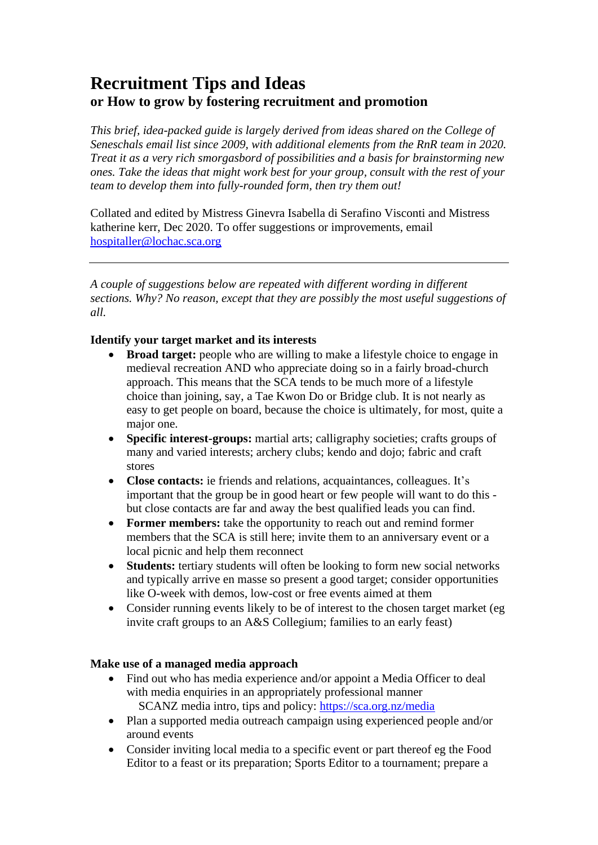# **Recruitment Tips and Ideas or How to grow by fostering recruitment and promotion**

*This brief, idea-packed guide is largely derived from ideas shared on the College of Seneschals email list since 2009, with additional elements from the RnR team in 2020. Treat it as a very rich smorgasbord of possibilities and a basis for brainstorming new ones. Take the ideas that might work best for your group, consult with the rest of your team to develop them into fully-rounded form, then try them out!*

Collated and edited by Mistress Ginevra Isabella di Serafino Visconti and Mistress katherine kerr, Dec 2020. To offer suggestions or improvements, email [hospitaller@lochac.sca.org](mailto:hospitaller@lochac.sca.org)

*A couple of suggestions below are repeated with different wording in different sections. Why? No reason, except that they are possibly the most useful suggestions of all.*

# **Identify your target market and its interests**

- **Broad target:** people who are willing to make a lifestyle choice to engage in medieval recreation AND who appreciate doing so in a fairly broad-church approach. This means that the SCA tends to be much more of a lifestyle choice than joining, say, a Tae Kwon Do or Bridge club. It is not nearly as easy to get people on board, because the choice is ultimately, for most, quite a major one.
- **Specific interest-groups:** martial arts; calligraphy societies; crafts groups of many and varied interests; archery clubs; kendo and dojo; fabric and craft stores
- **Close contacts:** ie friends and relations, acquaintances, colleagues. It's important that the group be in good heart or few people will want to do this but close contacts are far and away the best qualified leads you can find.
- **Former members:** take the opportunity to reach out and remind former members that the SCA is still here; invite them to an anniversary event or a local picnic and help them reconnect
- **Students:** tertiary students will often be looking to form new social networks and typically arrive en masse so present a good target; consider opportunities like O-week with demos, low-cost or free events aimed at them
- Consider running events likely to be of interest to the chosen target market (eg invite craft groups to an A&S Collegium; families to an early feast)

## **Make use of a managed media approach**

- Find out who has media experience and/or appoint a Media Officer to deal with media enquiries in an appropriately professional manner SCANZ media intro, tips and policy:<https://sca.org.nz/media>
- Plan a supported media outreach campaign using experienced people and/or around events
- Consider inviting local media to a specific event or part thereof eg the Food Editor to a feast or its preparation; Sports Editor to a tournament; prepare a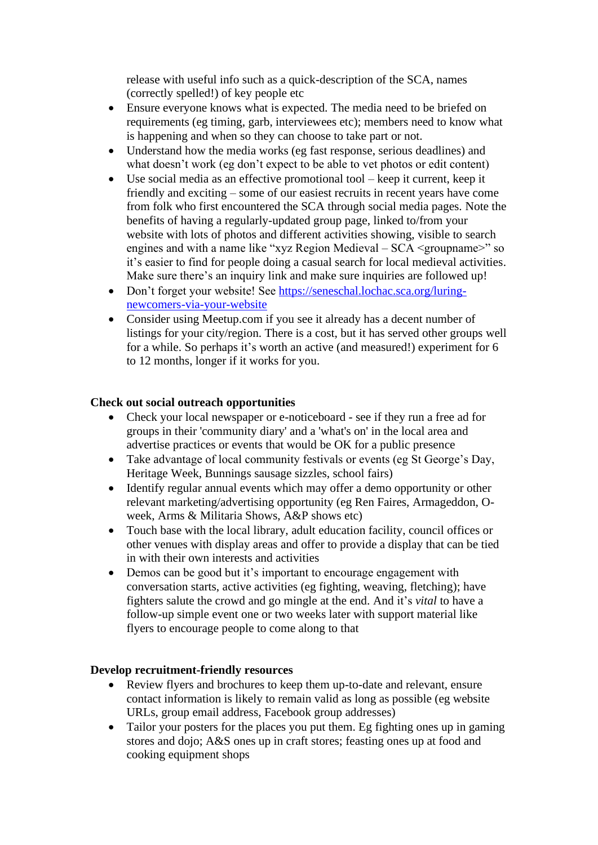release with useful info such as a quick-description of the SCA, names (correctly spelled!) of key people etc

- Ensure everyone knows what is expected. The media need to be briefed on requirements (eg timing, garb, interviewees etc); members need to know what is happening and when so they can choose to take part or not.
- Understand how the media works (eg fast response, serious deadlines) and what doesn't work (eg don't expect to be able to vet photos or edit content)
- Use social media as an effective promotional tool keep it current, keep it friendly and exciting – some of our easiest recruits in recent years have come from folk who first encountered the SCA through social media pages. Note the benefits of having a regularly-updated group page, linked to/from your website with lots of photos and different activities showing, visible to search engines and with a name like "xyz Region Medieval – SCA <groupname>" so it's easier to find for people doing a casual search for local medieval activities. Make sure there's an inquiry link and make sure inquiries are followed up!
- Don't forget your website! See [https://seneschal.lochac.sca.org/luring](https://seneschal.lochac.sca.org/luring-newcomers-via-your-website)[newcomers-via-your-website](https://seneschal.lochac.sca.org/luring-newcomers-via-your-website)
- Consider using Meetup.com if you see it already has a decent number of listings for your city/region. There is a cost, but it has served other groups well for a while. So perhaps it's worth an active (and measured!) experiment for 6 to 12 months, longer if it works for you.

## **Check out social outreach opportunities**

- Check your local newspaper or e-noticeboard see if they run a free ad for groups in their 'community diary' and a 'what's on' in the local area and advertise practices or events that would be OK for a public presence
- Take advantage of local community festivals or events (eg St George's Day, Heritage Week, Bunnings sausage sizzles, school fairs)
- Identify regular annual events which may offer a demo opportunity or other relevant marketing/advertising opportunity (eg Ren Faires, Armageddon, Oweek, Arms & Militaria Shows, A&P shows etc)
- Touch base with the local library, adult education facility, council offices or other venues with display areas and offer to provide a display that can be tied in with their own interests and activities
- Demos can be good but it's important to encourage engagement with conversation starts, active activities (eg fighting, weaving, fletching); have fighters salute the crowd and go mingle at the end. And it's *vital* to have a follow-up simple event one or two weeks later with support material like flyers to encourage people to come along to that

### **Develop recruitment-friendly resources**

- Review flyers and brochures to keep them up-to-date and relevant, ensure contact information is likely to remain valid as long as possible (eg website URLs, group email address, Facebook group addresses)
- Tailor your posters for the places you put them. Eg fighting ones up in gaming stores and dojo; A&S ones up in craft stores; feasting ones up at food and cooking equipment shops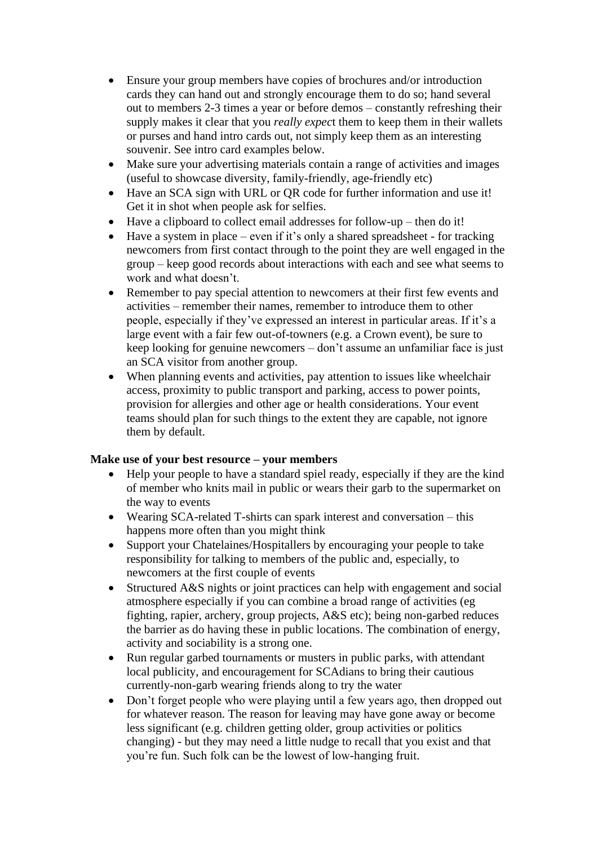- Ensure your group members have copies of brochures and/or introduction cards they can hand out and strongly encourage them to do so; hand several out to members 2-3 times a year or before demos – constantly refreshing their supply makes it clear that you *really expec*t them to keep them in their wallets or purses and hand intro cards out, not simply keep them as an interesting souvenir. See intro card examples below.
- Make sure your advertising materials contain a range of activities and images (useful to showcase diversity, family-friendly, age-friendly etc)
- Have an SCA sign with URL or QR code for further information and use it! Get it in shot when people ask for selfies.
- Have a clipboard to collect email addresses for follow-up then do it!
- Have a system in place even if it's only a shared spreadsheet for tracking newcomers from first contact through to the point they are well engaged in the group – keep good records about interactions with each and see what seems to work and what doesn't.
- Remember to pay special attention to newcomers at their first few events and activities – remember their names, remember to introduce them to other people, especially if they've expressed an interest in particular areas. If it's a large event with a fair few out-of-towners (e.g. a Crown event), be sure to keep looking for genuine newcomers – don't assume an unfamiliar face is just an SCA visitor from another group.
- When planning events and activities, pay attention to issues like wheelchair access, proximity to public transport and parking, access to power points, provision for allergies and other age or health considerations. Your event teams should plan for such things to the extent they are capable, not ignore them by default.

## **Make use of your best resource – your members**

- Help your people to have a standard spiel ready, especially if they are the kind of member who knits mail in public or wears their garb to the supermarket on the way to events
- Wearing SCA-related T-shirts can spark interest and conversation this happens more often than you might think
- Support your Chatelaines/Hospitallers by encouraging your people to take responsibility for talking to members of the public and, especially, to newcomers at the first couple of events
- Structured A&S nights or joint practices can help with engagement and social atmosphere especially if you can combine a broad range of activities (eg fighting, rapier, archery, group projects, A&S etc); being non-garbed reduces the barrier as do having these in public locations. The combination of energy, activity and sociability is a strong one.
- Run regular garbed tournaments or musters in public parks, with attendant local publicity, and encouragement for SCAdians to bring their cautious currently-non-garb wearing friends along to try the water
- Don't forget people who were playing until a few years ago, then dropped out for whatever reason. The reason for leaving may have gone away or become less significant (e.g. children getting older, group activities or politics changing) - but they may need a little nudge to recall that you exist and that you're fun. Such folk can be the lowest of low-hanging fruit.